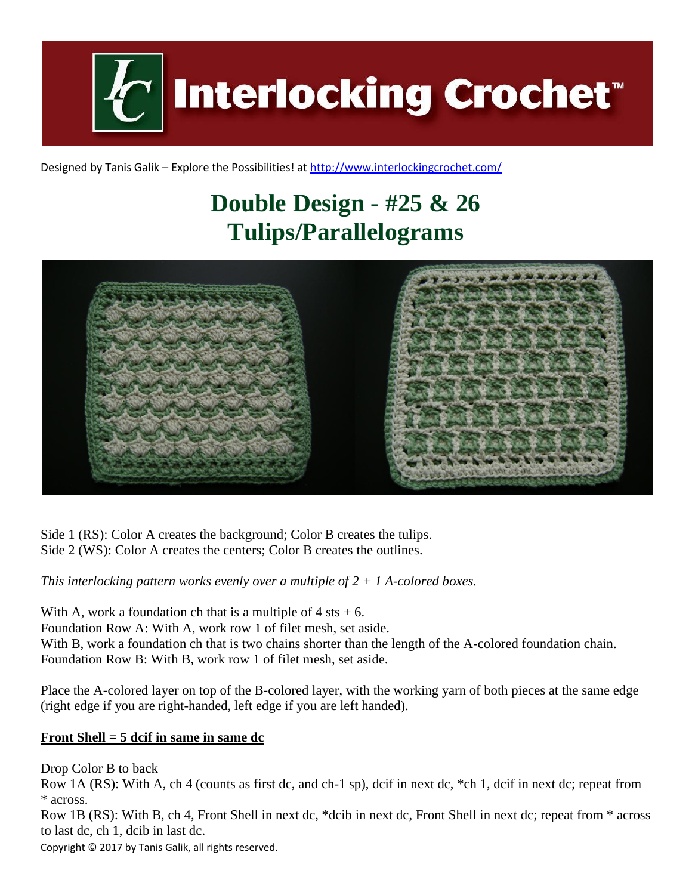**Interlocking Crochet** 

Designed by Tanis Galik – Explore the Possibilities! a[t http://www.interlockingcrochet.com/](http://www.interlockingcrochet.com/)

# **Double Design - #25 & 26 Tulips/Parallelograms**



Side 1 (RS): Color A creates the background; Color B creates the tulips. Side 2 (WS): Color A creates the centers; Color B creates the outlines.

*This interlocking pattern works evenly over a multiple of 2 + 1 A-colored boxes.*

With A, work a foundation ch that is a multiple of  $4$  sts  $+ 6$ . Foundation Row A: With A, work row 1 of filet mesh, set aside. With B, work a foundation ch that is two chains shorter than the length of the A-colored foundation chain. Foundation Row B: With B, work row 1 of filet mesh, set aside.

Place the A-colored layer on top of the B-colored layer, with the working yarn of both pieces at the same edge (right edge if you are right-handed, left edge if you are left handed).

#### **Front Shell = 5 dcif in same in same dc**

Drop Color B to back

Row 1A (RS): With A, ch 4 (counts as first dc, and ch-1 sp), dcif in next dc, \*ch 1, dcif in next dc; repeat from \* across.

Row 1B (RS): With B, ch 4, Front Shell in next dc, \*dcib in next dc, Front Shell in next dc; repeat from \* across to last dc, ch 1, dcib in last dc.

Copyright © 2017 by Tanis Galik, all rights reserved.